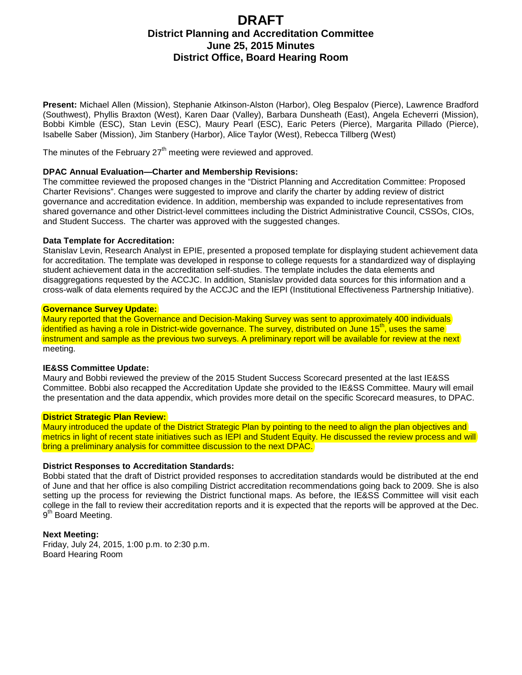# **DRAFT District Planning and Accreditation Committee June 25, 2015 Minutes District Office, Board Hearing Room**

**Present:** Michael Allen (Mission), Stephanie Atkinson-Alston (Harbor), Oleg Bespalov (Pierce), Lawrence Bradford (Southwest), Phyllis Braxton (West), Karen Daar (Valley), Barbara Dunsheath (East), Angela Echeverri (Mission), Bobbi Kimble (ESC), Stan Levin (ESC), Maury Pearl (ESC), Earic Peters (Pierce), Margarita Pillado (Pierce), Isabelle Saber (Mission), Jim Stanbery (Harbor), Alice Taylor (West), Rebecca Tillberg (West)

The minutes of the February  $27<sup>th</sup>$  meeting were reviewed and approved.

## **DPAC Annual Evaluation—Charter and Membership Revisions:**

The committee reviewed the proposed changes in the "District Planning and Accreditation Committee: Proposed Charter Revisions". Changes were suggested to improve and clarify the charter by adding review of district governance and accreditation evidence. In addition, membership was expanded to include representatives from shared governance and other District-level committees including the District Administrative Council, CSSOs, CIOs, and Student Success. The charter was approved with the suggested changes.

## **Data Template for Accreditation:**

Stanislav Levin, Research Analyst in EPIE, presented a proposed template for displaying student achievement data for accreditation. The template was developed in response to college requests for a standardized way of displaying student achievement data in the accreditation self-studies. The template includes the data elements and disaggregations requested by the ACCJC. In addition, Stanislav provided data sources for this information and a cross-walk of data elements required by the ACCJC and the IEPI (Institutional Effectiveness Partnership Initiative).

## **Governance Survey Update:**

Maury reported that the Governance and Decision-Making Survey was sent to approximately 400 individuals identified as having a role in District-wide governance. The survey, distributed on June 15<sup>th</sup>, uses the same instrument and sample as the previous two surveys. A preliminary report will be available for review at the next meeting.

# **IE&SS Committee Update:**

Maury and Bobbi reviewed the preview of the 2015 Student Success Scorecard presented at the last IE&SS Committee. Bobbi also recapped the Accreditation Update she provided to the IE&SS Committee. Maury will email the presentation and the data appendix, which provides more detail on the specific Scorecard measures, to DPAC.

#### **District Strategic Plan Review:**

Maury introduced the update of the District Strategic Plan by pointing to the need to align the plan objectives and metrics in light of recent state initiatives such as IEPI and Student Equity. He discussed the review process and will bring a preliminary analysis for committee discussion to the next DPAC.

# **District Responses to Accreditation Standards:**

Bobbi stated that the draft of District provided responses to accreditation standards would be distributed at the end of June and that her office is also compiling District accreditation recommendations going back to 2009. She is also setting up the process for reviewing the District functional maps. As before, the IE&SS Committee will visit each college in the fall to review their accreditation reports and it is expected that the reports will be approved at the Dec. 9<sup>th</sup> Board Meeting.

#### **Next Meeting:**

Friday, July 24, 2015, 1:00 p.m. to 2:30 p.m. Board Hearing Room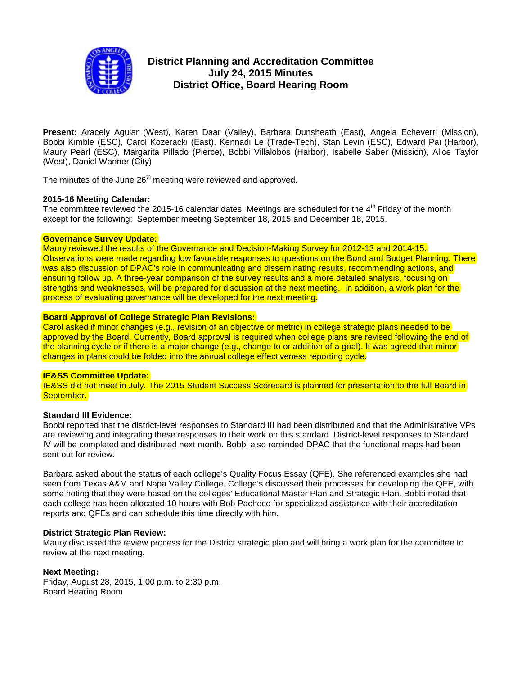

# **District Planning and Accreditation Committee July 24, 2015 Minutes District Office, Board Hearing Room**

**Present:** Aracely Aguiar (West), Karen Daar (Valley), Barbara Dunsheath (East), Angela Echeverri (Mission), Bobbi Kimble (ESC), Carol Kozeracki (East), Kennadi Le (Trade-Tech), Stan Levin (ESC), Edward Pai (Harbor), Maury Pearl (ESC), Margarita Pillado (Pierce), Bobbi Villalobos (Harbor), Isabelle Saber (Mission), Alice Taylor (West), Daniel Wanner (City)

The minutes of the June 26<sup>th</sup> meeting were reviewed and approved.

# **2015-16 Meeting Calendar:**

The committee reviewed the 2015-16 calendar dates. Meetings are scheduled for the  $4<sup>th</sup>$  Friday of the month except for the following: September meeting September 18, 2015 and December 18, 2015.

## **Governance Survey Update:**

Maury reviewed the results of the Governance and Decision-Making Survey for 2012-13 and 2014-15. Observations were made regarding low favorable responses to questions on the Bond and Budget Planning. There was also discussion of DPAC's role in communicating and disseminating results, recommending actions, and ensuring follow up. A three-year comparison of the survey results and a more detailed analysis, focusing on strengths and weaknesses, will be prepared for discussion at the next meeting. In addition, a work plan for the process of evaluating governance will be developed for the next meeting.

## **Board Approval of College Strategic Plan Revisions:**

Carol asked if minor changes (e.g., revision of an objective or metric) in college strategic plans needed to be approved by the Board. Currently, Board approval is required when college plans are revised following the end of the planning cycle or if there is a major change (e.g., change to or addition of a goal). It was agreed that minor changes in plans could be folded into the annual college effectiveness reporting cycle.

#### **IE&SS Committee Update:**

IE&SS did not meet in July. The 2015 Student Success Scorecard is planned for presentation to the full Board in September.

#### **Standard III Evidence:**

Bobbi reported that the district-level responses to Standard III had been distributed and that the Administrative VPs are reviewing and integrating these responses to their work on this standard. District-level responses to Standard IV will be completed and distributed next month. Bobbi also reminded DPAC that the functional maps had been sent out for review.

Barbara asked about the status of each college's Quality Focus Essay (QFE). She referenced examples she had seen from Texas A&M and Napa Valley College. College's discussed their processes for developing the QFE, with some noting that they were based on the colleges' Educational Master Plan and Strategic Plan. Bobbi noted that each college has been allocated 10 hours with Bob Pacheco for specialized assistance with their accreditation reports and QFEs and can schedule this time directly with him.

#### **District Strategic Plan Review:**

Maury discussed the review process for the District strategic plan and will bring a work plan for the committee to review at the next meeting.

# **Next Meeting:**

Friday, August 28, 2015, 1:00 p.m. to 2:30 p.m. Board Hearing Room